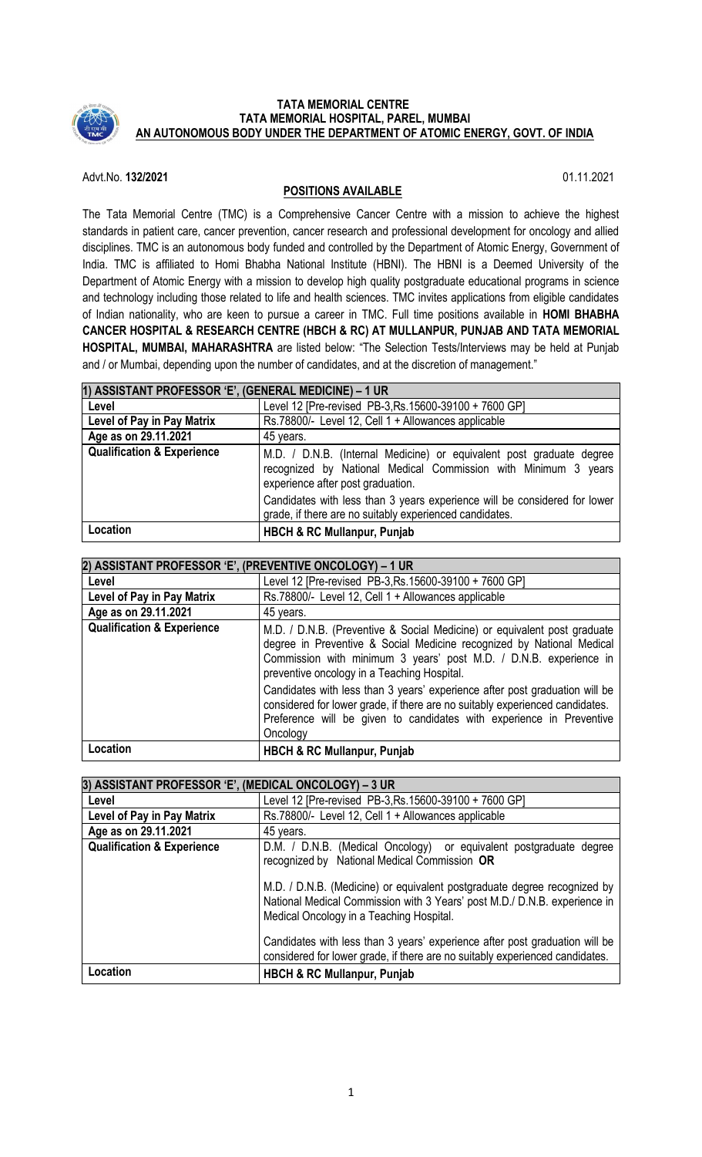

### **TATA MEMORIAL CENTRE TATA MEMORIAL HOSPITAL, PAREL, MUMBAI AN AUTONOMOUS BODY UNDER THE DEPARTMENT OF ATOMIC ENERGY, GOVT. OF INDIA**

Advt.No. **132/2021** 01.11.2021

# **POSITIONS AVAILABLE**

The Tata Memorial Centre (TMC) is a Comprehensive Cancer Centre with a mission to achieve the highest standards in patient care, cancer prevention, cancer research and professional development for oncology and allied disciplines. TMC is an autonomous body funded and controlled by the Department of Atomic Energy, Government of India. TMC is affiliated to Homi Bhabha National Institute (HBNI). The HBNI is a Deemed University of the Department of Atomic Energy with a mission to develop high quality postgraduate educational programs in science and technology including those related to life and health sciences. TMC invites applications from eligible candidates of Indian nationality, who are keen to pursue a career in TMC. Full time positions available in **HOMI BHABHA CANCER HOSPITAL & RESEARCH CENTRE (HBCH & RC) AT MULLANPUR, PUNJAB AND TATA MEMORIAL HOSPITAL, MUMBAI, MAHARASHTRA** are listed below: "The Selection Tests/Interviews may be held at Punjab and / or Mumbai, depending upon the number of candidates, and at the discretion of management."

| 1) ASSISTANT PROFESSOR 'E', (GENERAL MEDICINE) - 1 UR |                                                                                                                                                                                                                                                                                                                     |
|-------------------------------------------------------|---------------------------------------------------------------------------------------------------------------------------------------------------------------------------------------------------------------------------------------------------------------------------------------------------------------------|
| Level                                                 | Level 12 [Pre-revised PB-3, Rs. 15600-39100 + 7600 GP]                                                                                                                                                                                                                                                              |
| Level of Pay in Pay Matrix                            | Rs.78800/- Level 12, Cell 1 + Allowances applicable                                                                                                                                                                                                                                                                 |
| Age as on 29.11.2021                                  | 45 years.                                                                                                                                                                                                                                                                                                           |
| <b>Qualification &amp; Experience</b>                 | M.D. / D.N.B. (Internal Medicine) or equivalent post graduate degree<br>recognized by National Medical Commission with Minimum 3 years<br>experience after post graduation.<br>Candidates with less than 3 years experience will be considered for lower<br>grade, if there are no suitably experienced candidates. |
| Location                                              | <b>HBCH &amp; RC Mullanpur, Punjab</b>                                                                                                                                                                                                                                                                              |

| 2) ASSISTANT PROFESSOR 'E', (PREVENTIVE ONCOLOGY) - 1 UR |                                                                                                                                                                                                                                                                                                                                                                                                                                      |
|----------------------------------------------------------|--------------------------------------------------------------------------------------------------------------------------------------------------------------------------------------------------------------------------------------------------------------------------------------------------------------------------------------------------------------------------------------------------------------------------------------|
| Level                                                    | Level 12 [Pre-revised PB-3, Rs. 15600-39100 + 7600 GP]                                                                                                                                                                                                                                                                                                                                                                               |
| Level of Pay in Pay Matrix                               | Rs.78800/- Level 12, Cell 1 + Allowances applicable                                                                                                                                                                                                                                                                                                                                                                                  |
| Age as on 29.11.2021                                     | 45 years.                                                                                                                                                                                                                                                                                                                                                                                                                            |
| <b>Qualification &amp; Experience</b>                    | M.D. / D.N.B. (Preventive & Social Medicine) or equivalent post graduate<br>degree in Preventive & Social Medicine recognized by National Medical<br>Commission with minimum 3 years' post M.D. / D.N.B. experience in<br>preventive oncology in a Teaching Hospital.<br>Candidates with less than 3 years' experience after post graduation will be<br>considered for lower grade, if there are no suitably experienced candidates. |
|                                                          | Preference will be given to candidates with experience in Preventive<br>Oncology                                                                                                                                                                                                                                                                                                                                                     |
| Location                                                 | <b>HBCH &amp; RC Mullanpur, Punjab</b>                                                                                                                                                                                                                                                                                                                                                                                               |

| 3) ASSISTANT PROFESSOR 'E', (MEDICAL ONCOLOGY) - 3 UR |                                                                                                                                                                                                                                                                                                                                                                                                                                                                                        |
|-------------------------------------------------------|----------------------------------------------------------------------------------------------------------------------------------------------------------------------------------------------------------------------------------------------------------------------------------------------------------------------------------------------------------------------------------------------------------------------------------------------------------------------------------------|
| Level                                                 | Level 12 [Pre-revised PB-3, Rs. 15600-39100 + 7600 GP]                                                                                                                                                                                                                                                                                                                                                                                                                                 |
| Level of Pay in Pay Matrix                            | Rs.78800/- Level 12, Cell 1 + Allowances applicable                                                                                                                                                                                                                                                                                                                                                                                                                                    |
| Age as on 29.11.2021                                  | 45 years.                                                                                                                                                                                                                                                                                                                                                                                                                                                                              |
| <b>Qualification &amp; Experience</b>                 | D.M. / D.N.B. (Medical Oncology) or equivalent postgraduate degree<br>recognized by National Medical Commission OR<br>M.D. / D.N.B. (Medicine) or equivalent postgraduate degree recognized by<br>National Medical Commission with 3 Years' post M.D./ D.N.B. experience in<br>Medical Oncology in a Teaching Hospital.<br>Candidates with less than 3 years' experience after post graduation will be<br>considered for lower grade, if there are no suitably experienced candidates. |
| Location                                              | <b>HBCH &amp; RC Mullanpur, Punjab</b>                                                                                                                                                                                                                                                                                                                                                                                                                                                 |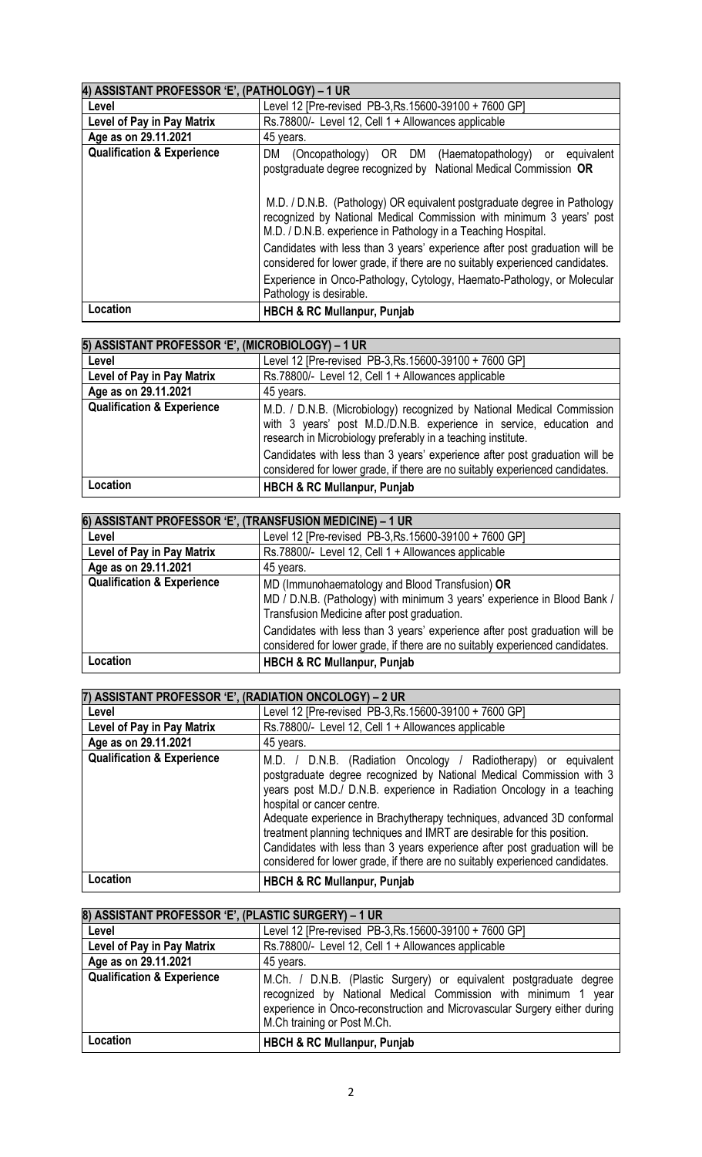| 4) ASSISTANT PROFESSOR 'E', (PATHOLOGY) - 1 UR |                                                                                                                                                                                                                                                                                                                                                           |
|------------------------------------------------|-----------------------------------------------------------------------------------------------------------------------------------------------------------------------------------------------------------------------------------------------------------------------------------------------------------------------------------------------------------|
| Level                                          | Level 12 [Pre-revised PB-3, Rs. 15600-39100 + 7600 GP]                                                                                                                                                                                                                                                                                                    |
| Level of Pay in Pay Matrix                     | Rs.78800/- Level 12, Cell 1 + Allowances applicable                                                                                                                                                                                                                                                                                                       |
| Age as on 29.11.2021                           | 45 years.                                                                                                                                                                                                                                                                                                                                                 |
| <b>Qualification &amp; Experience</b>          | (Oncopathology) OR DM<br>(Haematopathology) or equivalent<br>DM.<br>postgraduate degree recognized by National Medical Commission OR<br>M.D. / D.N.B. (Pathology) OR equivalent postgraduate degree in Pathology<br>recognized by National Medical Commission with minimum 3 years' post<br>M.D. / D.N.B. experience in Pathology in a Teaching Hospital. |
|                                                | Candidates with less than 3 years' experience after post graduation will be<br>considered for lower grade, if there are no suitably experienced candidates.<br>Experience in Onco-Pathology, Cytology, Haemato-Pathology, or Molecular<br>Pathology is desirable.                                                                                         |
| Location                                       | <b>HBCH &amp; RC Mullanpur, Punjab</b>                                                                                                                                                                                                                                                                                                                    |

| 5) ASSISTANT PROFESSOR 'E', (MICROBIOLOGY) - 1 UR |                                                                                                                                                                                                                                                                                                                                                                              |
|---------------------------------------------------|------------------------------------------------------------------------------------------------------------------------------------------------------------------------------------------------------------------------------------------------------------------------------------------------------------------------------------------------------------------------------|
| Level                                             | Level 12 [Pre-revised PB-3, Rs. 15600-39100 + 7600 GP]                                                                                                                                                                                                                                                                                                                       |
| Level of Pay in Pay Matrix                        | Rs.78800/- Level 12, Cell 1 + Allowances applicable                                                                                                                                                                                                                                                                                                                          |
| Age as on 29.11.2021                              | 45 years.                                                                                                                                                                                                                                                                                                                                                                    |
| <b>Qualification &amp; Experience</b>             | M.D. / D.N.B. (Microbiology) recognized by National Medical Commission<br>with 3 years' post M.D./D.N.B. experience in service, education and<br>research in Microbiology preferably in a teaching institute.<br>Candidates with less than 3 years' experience after post graduation will be<br>considered for lower grade, if there are no suitably experienced candidates. |
| Location                                          | <b>HBCH &amp; RC Mullanpur, Punjab</b>                                                                                                                                                                                                                                                                                                                                       |
|                                                   |                                                                                                                                                                                                                                                                                                                                                                              |

| 6) ASSISTANT PROFESSOR 'E', (TRANSFUSION MEDICINE) - 1 UR |                                                                                                                                                                            |
|-----------------------------------------------------------|----------------------------------------------------------------------------------------------------------------------------------------------------------------------------|
| Level                                                     | Level 12 [Pre-revised PB-3, Rs. 15600-39100 + 7600 GP]                                                                                                                     |
| Level of Pay in Pay Matrix                                | Rs.78800/- Level 12, Cell 1 + Allowances applicable                                                                                                                        |
| Age as on 29.11.2021                                      | 45 years.                                                                                                                                                                  |
| <b>Qualification &amp; Experience</b>                     | MD (Immunohaematology and Blood Transfusion) OR<br>MD / D.N.B. (Pathology) with minimum 3 years' experience in Blood Bank /<br>Transfusion Medicine after post graduation. |
|                                                           | Candidates with less than 3 years' experience after post graduation will be<br>considered for lower grade, if there are no suitably experienced candidates.                |
| Location                                                  | <b>HBCH &amp; RC Mullanpur, Punjab</b>                                                                                                                                     |

| 7) ASSISTANT PROFESSOR 'E', (RADIATION ONCOLOGY) - 2 UR |                                                                                                                                                                                                                                                                                                                                                                                                                                                                                                                                                                    |
|---------------------------------------------------------|--------------------------------------------------------------------------------------------------------------------------------------------------------------------------------------------------------------------------------------------------------------------------------------------------------------------------------------------------------------------------------------------------------------------------------------------------------------------------------------------------------------------------------------------------------------------|
| Level                                                   | Level 12 [Pre-revised PB-3, Rs. 15600-39100 + 7600 GP]                                                                                                                                                                                                                                                                                                                                                                                                                                                                                                             |
| Level of Pay in Pay Matrix                              | Rs.78800/- Level 12, Cell 1 + Allowances applicable                                                                                                                                                                                                                                                                                                                                                                                                                                                                                                                |
| Age as on 29.11.2021                                    | 45 years.                                                                                                                                                                                                                                                                                                                                                                                                                                                                                                                                                          |
| <b>Qualification &amp; Experience</b>                   | M.D. / D.N.B. (Radiation Oncology / Radiotherapy) or equivalent<br>postgraduate degree recognized by National Medical Commission with 3<br>years post M.D./ D.N.B. experience in Radiation Oncology in a teaching<br>hospital or cancer centre.<br>Adequate experience in Brachytherapy techniques, advanced 3D conformal<br>treatment planning techniques and IMRT are desirable for this position.<br>Candidates with less than 3 years experience after post graduation will be<br>considered for lower grade, if there are no suitably experienced candidates. |
| Location                                                | <b>HBCH &amp; RC Mullanpur, Punjab</b>                                                                                                                                                                                                                                                                                                                                                                                                                                                                                                                             |

| 8) ASSISTANT PROFESSOR 'E', (PLASTIC SURGERY) - 1 UR |                                                                                                                                                                                                                                                 |
|------------------------------------------------------|-------------------------------------------------------------------------------------------------------------------------------------------------------------------------------------------------------------------------------------------------|
| Level                                                | Level 12 [Pre-revised PB-3, Rs. 15600-39100 + 7600 GP]                                                                                                                                                                                          |
| Level of Pay in Pay Matrix                           | Rs.78800/- Level 12, Cell 1 + Allowances applicable                                                                                                                                                                                             |
| Age as on 29.11.2021                                 | 45 years.                                                                                                                                                                                                                                       |
| <b>Qualification &amp; Experience</b>                | M.Ch. / D.N.B. (Plastic Surgery) or equivalent postgraduate degree<br>recognized by National Medical Commission with minimum 1 year<br>experience in Onco-reconstruction and Microvascular Surgery either during<br>M.Ch training or Post M.Ch. |
| Location                                             | <b>HBCH &amp; RC Mullanpur, Punjab</b>                                                                                                                                                                                                          |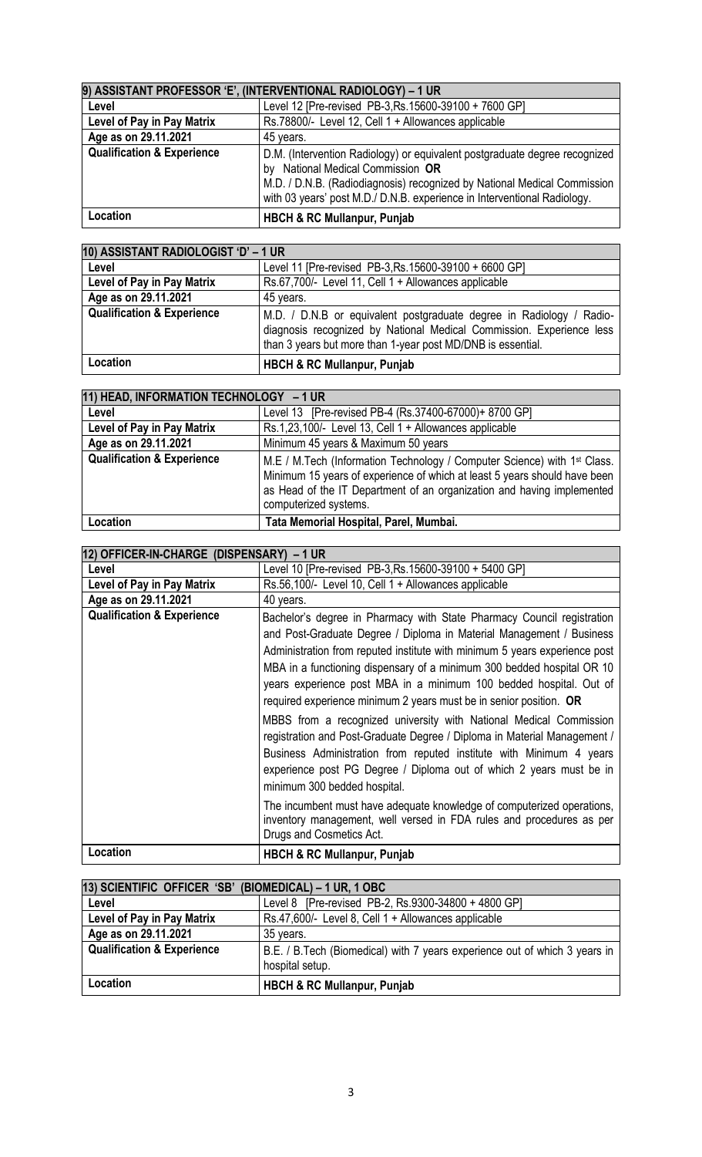| 9) ASSISTANT PROFESSOR 'E', (INTERVENTIONAL RADIOLOGY) - 1 UR |                                                                                                                                                                                                                                                                         |
|---------------------------------------------------------------|-------------------------------------------------------------------------------------------------------------------------------------------------------------------------------------------------------------------------------------------------------------------------|
| Level                                                         | Level 12 [Pre-revised PB-3, Rs. 15600-39100 + 7600 GP]                                                                                                                                                                                                                  |
| Level of Pay in Pay Matrix                                    | Rs.78800/- Level 12, Cell 1 + Allowances applicable                                                                                                                                                                                                                     |
| Age as on 29.11.2021                                          | 45 years.                                                                                                                                                                                                                                                               |
| <b>Qualification &amp; Experience</b>                         | D.M. (Intervention Radiology) or equivalent postgraduate degree recognized<br>by National Medical Commission OR<br>M.D. / D.N.B. (Radiodiagnosis) recognized by National Medical Commission<br>with 03 years' post M.D./ D.N.B. experience in Interventional Radiology. |
| Location                                                      | <b>HBCH &amp; RC Mullanpur, Punjab</b>                                                                                                                                                                                                                                  |

| 10) ASSISTANT RADIOLOGIST 'D' - 1 UR  |                                                                                                                                                                                                             |
|---------------------------------------|-------------------------------------------------------------------------------------------------------------------------------------------------------------------------------------------------------------|
| Level                                 | Level 11 [Pre-revised PB-3, Rs. 15600-39100 + 6600 GP]                                                                                                                                                      |
| Level of Pay in Pay Matrix            | Rs.67,700/- Level 11, Cell 1 + Allowances applicable                                                                                                                                                        |
| Age as on 29.11.2021                  | 45 years.                                                                                                                                                                                                   |
| <b>Qualification &amp; Experience</b> | M.D. / D.N.B or equivalent postgraduate degree in Radiology / Radio-<br>diagnosis recognized by National Medical Commission. Experience less<br>than 3 years but more than 1-year post MD/DNB is essential. |
| Location                              | <b>HBCH &amp; RC Mullanpur, Punjab</b>                                                                                                                                                                      |

| 11) HEAD, INFORMATION TECHNOLOGY - 1 UR |                                                                                                                                                                                                                                                                      |
|-----------------------------------------|----------------------------------------------------------------------------------------------------------------------------------------------------------------------------------------------------------------------------------------------------------------------|
| Level                                   | Level 13 [Pre-revised PB-4 (Rs.37400-67000)+ 8700 GP]                                                                                                                                                                                                                |
| Level of Pay in Pay Matrix              | Rs.1,23,100/- Level 13, Cell 1 + Allowances applicable                                                                                                                                                                                                               |
| Age as on 29.11.2021                    | Minimum 45 years & Maximum 50 years                                                                                                                                                                                                                                  |
| <b>Qualification &amp; Experience</b>   | M.E / M.Tech (Information Technology / Computer Science) with 1 <sup>st</sup> Class.<br>Minimum 15 years of experience of which at least 5 years should have been<br>as Head of the IT Department of an organization and having implemented<br>computerized systems. |
| Location                                | Tata Memorial Hospital, Parel, Mumbai.                                                                                                                                                                                                                               |

| 12) OFFICER-IN-CHARGE (DISPENSARY) - 1 UR |                                                                                                                                                                                                                                                                                                                                                                                                                                                                                                                                                                                                                                                                                                                                                                                                                                                                                                                                      |
|-------------------------------------------|--------------------------------------------------------------------------------------------------------------------------------------------------------------------------------------------------------------------------------------------------------------------------------------------------------------------------------------------------------------------------------------------------------------------------------------------------------------------------------------------------------------------------------------------------------------------------------------------------------------------------------------------------------------------------------------------------------------------------------------------------------------------------------------------------------------------------------------------------------------------------------------------------------------------------------------|
| Level                                     | Level 10 [Pre-revised PB-3, Rs. 15600-39100 + 5400 GP]                                                                                                                                                                                                                                                                                                                                                                                                                                                                                                                                                                                                                                                                                                                                                                                                                                                                               |
| Level of Pay in Pay Matrix                | Rs.56,100/- Level 10, Cell 1 + Allowances applicable                                                                                                                                                                                                                                                                                                                                                                                                                                                                                                                                                                                                                                                                                                                                                                                                                                                                                 |
| Age as on 29.11.2021                      | 40 years.                                                                                                                                                                                                                                                                                                                                                                                                                                                                                                                                                                                                                                                                                                                                                                                                                                                                                                                            |
| <b>Qualification &amp; Experience</b>     | Bachelor's degree in Pharmacy with State Pharmacy Council registration<br>and Post-Graduate Degree / Diploma in Material Management / Business<br>Administration from reputed institute with minimum 5 years experience post<br>MBA in a functioning dispensary of a minimum 300 bedded hospital OR 10<br>years experience post MBA in a minimum 100 bedded hospital. Out of<br>required experience minimum 2 years must be in senior position. OR<br>MBBS from a recognized university with National Medical Commission<br>registration and Post-Graduate Degree / Diploma in Material Management /<br>Business Administration from reputed institute with Minimum 4 years<br>experience post PG Degree / Diploma out of which 2 years must be in<br>minimum 300 bedded hospital.<br>The incumbent must have adequate knowledge of computerized operations,<br>inventory management, well versed in FDA rules and procedures as per |
|                                           | Drugs and Cosmetics Act.                                                                                                                                                                                                                                                                                                                                                                                                                                                                                                                                                                                                                                                                                                                                                                                                                                                                                                             |
| Location                                  | <b>HBCH &amp; RC Mullanpur, Punjab</b>                                                                                                                                                                                                                                                                                                                                                                                                                                                                                                                                                                                                                                                                                                                                                                                                                                                                                               |

| 13) SCIENTIFIC OFFICER 'SB' (BIOMEDICAL) - 1 UR, 1 OBC |                                                                                                |
|--------------------------------------------------------|------------------------------------------------------------------------------------------------|
| Level                                                  | Level 8 [Pre-revised PB-2, Rs.9300-34800 + 4800 GP]                                            |
| Level of Pay in Pay Matrix                             | Rs.47,600/- Level 8, Cell 1 + Allowances applicable                                            |
| Age as on 29.11.2021                                   | 35 years.                                                                                      |
| <b>Qualification &amp; Experience</b>                  | B.E. / B. Tech (Biomedical) with 7 years experience out of which 3 years in<br>hospital setup. |
| Location                                               | <b>HBCH &amp; RC Mullanpur, Punjab</b>                                                         |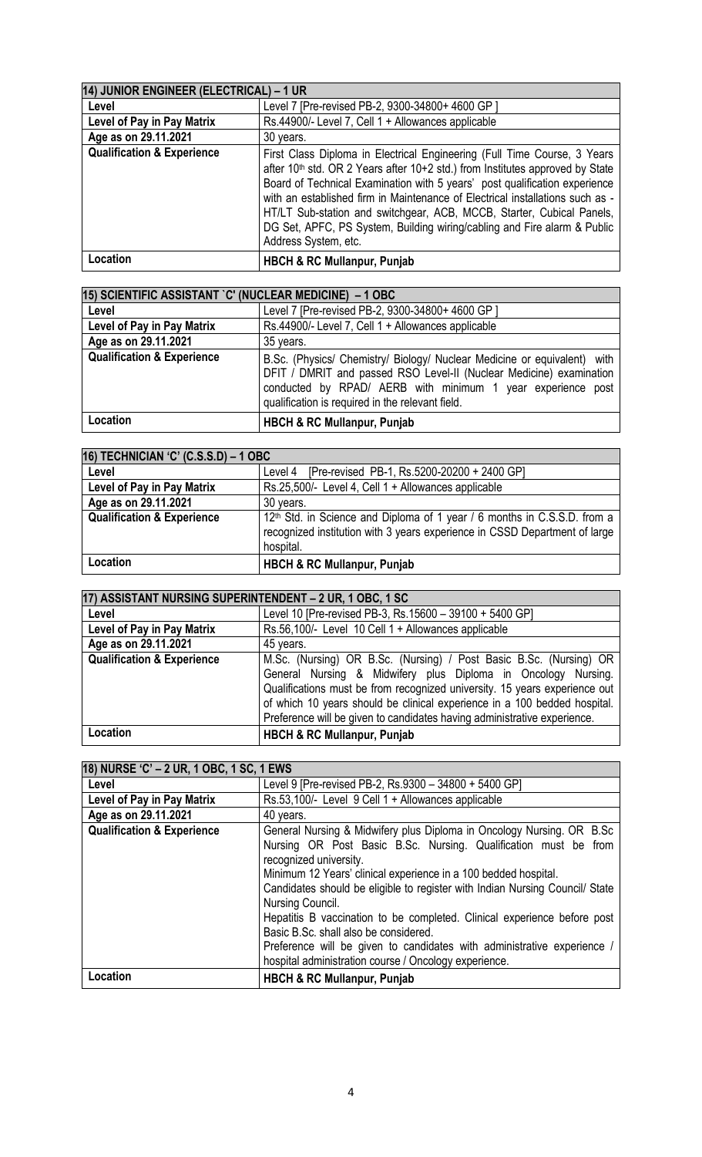| 14) JUNIOR ENGINEER (ELECTRICAL) - 1 UR |                                                                                                                                                                                                                                                                                                                                                                                                                                                                                                                   |
|-----------------------------------------|-------------------------------------------------------------------------------------------------------------------------------------------------------------------------------------------------------------------------------------------------------------------------------------------------------------------------------------------------------------------------------------------------------------------------------------------------------------------------------------------------------------------|
| Level                                   | Level 7 [Pre-revised PB-2, 9300-34800+ 4600 GP]                                                                                                                                                                                                                                                                                                                                                                                                                                                                   |
| Level of Pay in Pay Matrix              | Rs.44900/- Level 7, Cell 1 + Allowances applicable                                                                                                                                                                                                                                                                                                                                                                                                                                                                |
| Age as on 29.11.2021                    | 30 years.                                                                                                                                                                                                                                                                                                                                                                                                                                                                                                         |
| <b>Qualification &amp; Experience</b>   | First Class Diploma in Electrical Engineering (Full Time Course, 3 Years<br>after 10 <sup>th</sup> std. OR 2 Years after 10+2 std.) from Institutes approved by State<br>Board of Technical Examination with 5 years' post qualification experience<br>with an established firm in Maintenance of Electrical installations such as -<br>HT/LT Sub-station and switchgear, ACB, MCCB, Starter, Cubical Panels,<br>DG Set, APFC, PS System, Building wiring/cabling and Fire alarm & Public<br>Address System, etc. |
| Location                                | <b>HBCH &amp; RC Mullanpur, Punjab</b>                                                                                                                                                                                                                                                                                                                                                                                                                                                                            |

| 15) SCIENTIFIC ASSISTANT `C' (NUCLEAR MEDICINE) - 1 OBC |                                                                                                                                                                                                                                                                    |
|---------------------------------------------------------|--------------------------------------------------------------------------------------------------------------------------------------------------------------------------------------------------------------------------------------------------------------------|
| Level                                                   | Level 7 [Pre-revised PB-2, 9300-34800+ 4600 GP]                                                                                                                                                                                                                    |
| Level of Pay in Pay Matrix                              | Rs.44900/- Level 7, Cell 1 + Allowances applicable                                                                                                                                                                                                                 |
| Age as on 29.11.2021                                    | 35 years.                                                                                                                                                                                                                                                          |
| <b>Qualification &amp; Experience</b>                   | B.Sc. (Physics/ Chemistry/ Biology/ Nuclear Medicine or equivalent) with<br>DFIT / DMRIT and passed RSO Level-II (Nuclear Medicine) examination<br>conducted by RPAD/ AERB with minimum 1 year experience post<br>qualification is required in the relevant field. |
| Location                                                | <b>HBCH &amp; RC Mullanpur, Punjab</b>                                                                                                                                                                                                                             |

| 16) TECHNICIAN 'C' (C.S.S.D) - 1 OBC  |                                                                                                                                                                                 |
|---------------------------------------|---------------------------------------------------------------------------------------------------------------------------------------------------------------------------------|
| Level                                 | [Pre-revised PB-1, Rs.5200-20200 + 2400 GP]<br>Level 4                                                                                                                          |
| Level of Pay in Pay Matrix            | Rs.25,500/- Level 4, Cell 1 + Allowances applicable                                                                                                                             |
| Age as on 29.11.2021                  | 30 years.                                                                                                                                                                       |
| <b>Qualification &amp; Experience</b> | 12 <sup>th</sup> Std. in Science and Diploma of 1 year / 6 months in C.S.S.D. from a<br>recognized institution with 3 years experience in CSSD Department of large<br>hospital. |
| Location                              | <b>HBCH &amp; RC Mullanpur, Punjab</b>                                                                                                                                          |

| 17) ASSISTANT NURSING SUPERINTENDENT - 2 UR, 1 OBC, 1 SC |                                                                            |
|----------------------------------------------------------|----------------------------------------------------------------------------|
| Level                                                    | Level 10 [Pre-revised PB-3, Rs.15600 - 39100 + 5400 GP]                    |
| Level of Pay in Pay Matrix                               | Rs.56,100/- Level 10 Cell 1 + Allowances applicable                        |
| Age as on 29.11.2021                                     | 45 years.                                                                  |
| <b>Qualification &amp; Experience</b>                    | M.Sc. (Nursing) OR B.Sc. (Nursing) / Post Basic B.Sc. (Nursing) OR         |
|                                                          | General Nursing & Midwifery plus Diploma in Oncology Nursing.              |
|                                                          | Qualifications must be from recognized university. 15 years experience out |
|                                                          | of which 10 years should be clinical experience in a 100 bedded hospital.  |
|                                                          | Preference will be given to candidates having administrative experience.   |
| Location                                                 | <b>HBCH &amp; RC Mullanpur, Punjab</b>                                     |

| 18) NURSE 'C' - 2 UR, 1 OBC, 1 SC, 1 EWS |                                                                                                  |
|------------------------------------------|--------------------------------------------------------------------------------------------------|
| Level                                    | Level 9 [Pre-revised PB-2, Rs.9300 - 34800 + 5400 GP]                                            |
| Level of Pay in Pay Matrix               | Rs.53,100/- Level 9 Cell 1 + Allowances applicable                                               |
| Age as on 29.11.2021                     | 40 years.                                                                                        |
| <b>Qualification &amp; Experience</b>    | General Nursing & Midwifery plus Diploma in Oncology Nursing. OR B.Sc                            |
|                                          | Nursing OR Post Basic B.Sc. Nursing. Qualification must be from                                  |
|                                          | recognized university.                                                                           |
|                                          | Minimum 12 Years' clinical experience in a 100 bedded hospital.                                  |
|                                          | Candidates should be eligible to register with Indian Nursing Council/ State<br>Nursing Council. |
|                                          | Hepatitis B vaccination to be completed. Clinical experience before post                         |
|                                          | Basic B.Sc. shall also be considered.                                                            |
|                                          | Preference will be given to candidates with administrative experience /                          |
|                                          | hospital administration course / Oncology experience.                                            |
| Location                                 | <b>HBCH &amp; RC Mullanpur, Punjab</b>                                                           |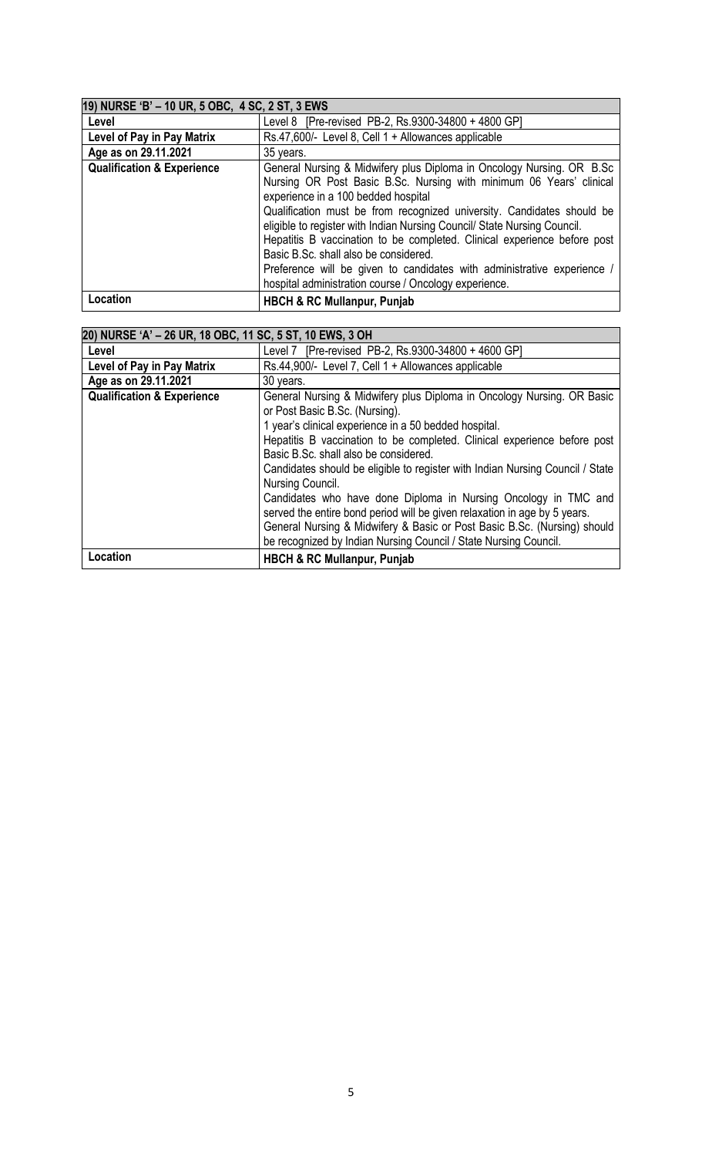| 19) NURSE 'B' - 10 UR, 5 OBC, 4 SC, 2 ST, 3 EWS |                                                                                                                                                                                                                                                                                                                                                                                                                                                                                                                                                                                                    |
|-------------------------------------------------|----------------------------------------------------------------------------------------------------------------------------------------------------------------------------------------------------------------------------------------------------------------------------------------------------------------------------------------------------------------------------------------------------------------------------------------------------------------------------------------------------------------------------------------------------------------------------------------------------|
| Level                                           | Level 8 [Pre-revised PB-2, Rs.9300-34800 + 4800 GP]                                                                                                                                                                                                                                                                                                                                                                                                                                                                                                                                                |
| Level of Pay in Pay Matrix                      | Rs.47,600/- Level 8, Cell 1 + Allowances applicable                                                                                                                                                                                                                                                                                                                                                                                                                                                                                                                                                |
| Age as on 29.11.2021                            | 35 years.                                                                                                                                                                                                                                                                                                                                                                                                                                                                                                                                                                                          |
| <b>Qualification &amp; Experience</b>           | General Nursing & Midwifery plus Diploma in Oncology Nursing. OR B.Sc<br>Nursing OR Post Basic B.Sc. Nursing with minimum 06 Years' clinical<br>experience in a 100 bedded hospital<br>Qualification must be from recognized university. Candidates should be<br>eligible to register with Indian Nursing Council/ State Nursing Council.<br>Hepatitis B vaccination to be completed. Clinical experience before post<br>Basic B.Sc. shall also be considered.<br>Preference will be given to candidates with administrative experience /<br>hospital administration course / Oncology experience. |
| Location                                        | <b>HBCH &amp; RC Mullanpur, Punjab</b>                                                                                                                                                                                                                                                                                                                                                                                                                                                                                                                                                             |

| 20) NURSE 'A' - 26 UR, 18 OBC, 11 SC, 5 ST, 10 EWS, 3 OH |                                                                               |
|----------------------------------------------------------|-------------------------------------------------------------------------------|
| Level                                                    | Level 7 [Pre-revised PB-2, Rs.9300-34800 + 4600 GP]                           |
| Level of Pay in Pay Matrix                               | Rs.44,900/- Level 7, Cell 1 + Allowances applicable                           |
| Age as on 29.11.2021                                     | 30 years.                                                                     |
| <b>Qualification &amp; Experience</b>                    | General Nursing & Midwifery plus Diploma in Oncology Nursing. OR Basic        |
|                                                          | or Post Basic B.Sc. (Nursing).                                                |
|                                                          | 1 year's clinical experience in a 50 bedded hospital.                         |
|                                                          | Hepatitis B vaccination to be completed. Clinical experience before post      |
|                                                          | Basic B.Sc. shall also be considered.                                         |
|                                                          | Candidates should be eligible to register with Indian Nursing Council / State |
|                                                          | Nursing Council.                                                              |
|                                                          | Candidates who have done Diploma in Nursing Oncology in TMC and               |
|                                                          | served the entire bond period will be given relaxation in age by 5 years.     |
|                                                          | General Nursing & Midwifery & Basic or Post Basic B.Sc. (Nursing) should      |
|                                                          | be recognized by Indian Nursing Council / State Nursing Council.              |
| Location                                                 | <b>HBCH &amp; RC Mullanpur, Punjab</b>                                        |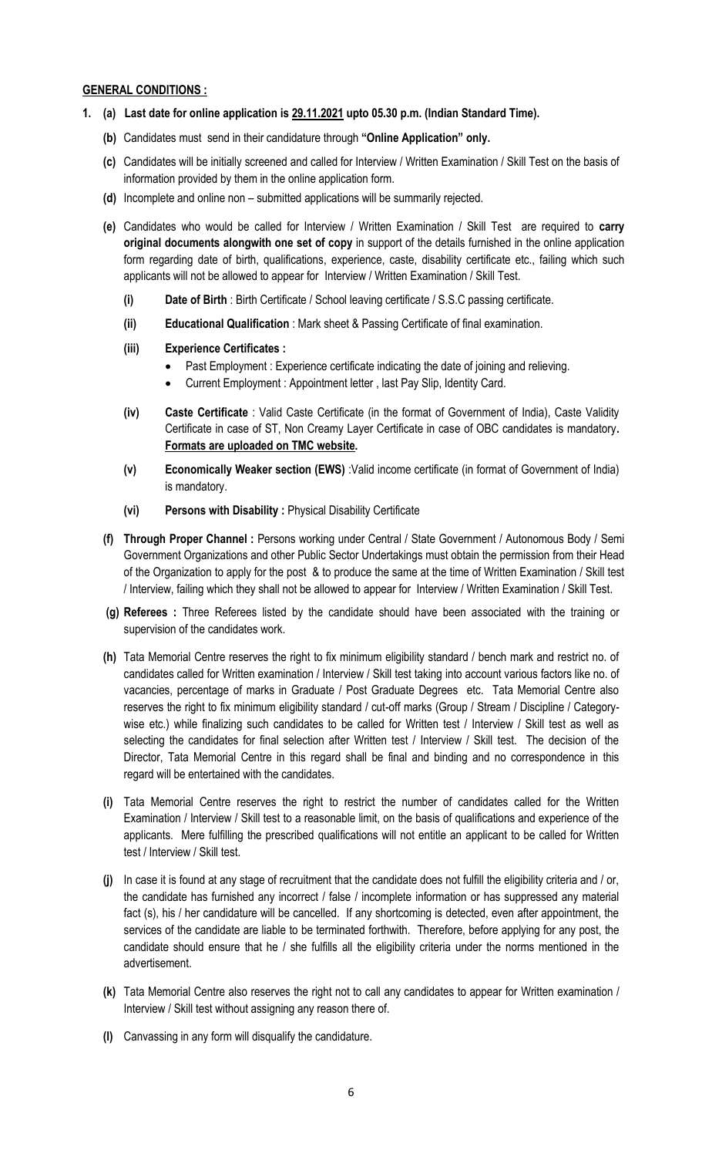### **GENERAL CONDITIONS :**

- **1. (a) Last date for online application is 29.11.2021 upto 05.30 p.m. (Indian Standard Time).**
	- **(b)** Candidates must send in their candidature through **"Online Application" only.**
	- **(c)** Candidates will be initially screened and called for Interview / Written Examination / Skill Test on the basis of information provided by them in the online application form.
	- **(d)** Incomplete and online non submitted applications will be summarily rejected.
	- **(e)** Candidates who would be called for Interview / Written Examination / Skill Test are required to **carry original documents alongwith one set of copy** in support of the details furnished in the online application form regarding date of birth, qualifications, experience, caste, disability certificate etc., failing which such applicants will not be allowed to appear for Interview / Written Examination / Skill Test.
		- **(i) Date of Birth** : Birth Certificate / School leaving certificate / S.S.C passing certificate.
		- **(ii) Educational Qualification** : Mark sheet & Passing Certificate of final examination.
		- **(iii) Experience Certificates :**
			- Past Employment : Experience certificate indicating the date of joining and relieving.
			- Current Employment : Appointment letter , last Pay Slip, Identity Card.
		- **(iv) Caste Certificate** : Valid Caste Certificate (in the format of Government of India), Caste Validity Certificate in case of ST, Non Creamy Layer Certificate in case of OBC candidates is mandatory**. Formats are uploaded on TMC website.**
		- **(v) Economically Weaker section (EWS)** :Valid income certificate (in format of Government of India) is mandatory.
		- **(vi) Persons with Disability :** Physical Disability Certificate
	- **(f) Through Proper Channel :** Persons working under Central / State Government / Autonomous Body / Semi Government Organizations and other Public Sector Undertakings must obtain the permission from their Head of the Organization to apply for the post & to produce the same at the time of Written Examination / Skill test / Interview, failing which they shall not be allowed to appear for Interview / Written Examination / Skill Test.
	- **(g) Referees :** Three Referees listed by the candidate should have been associated with the training or supervision of the candidates work.
	- **(h)** Tata Memorial Centre reserves the right to fix minimum eligibility standard / bench mark and restrict no. of candidates called for Written examination / Interview / Skill test taking into account various factors like no. of vacancies, percentage of marks in Graduate / Post Graduate Degrees etc. Tata Memorial Centre also reserves the right to fix minimum eligibility standard / cut-off marks (Group / Stream / Discipline / Categorywise etc.) while finalizing such candidates to be called for Written test / Interview / Skill test as well as selecting the candidates for final selection after Written test / Interview / Skill test. The decision of the Director, Tata Memorial Centre in this regard shall be final and binding and no correspondence in this regard will be entertained with the candidates.
	- **(i)** Tata Memorial Centre reserves the right to restrict the number of candidates called for the Written Examination / Interview / Skill test to a reasonable limit, on the basis of qualifications and experience of the applicants. Mere fulfilling the prescribed qualifications will not entitle an applicant to be called for Written test / Interview / Skill test.
	- **(j)** In case it is found at any stage of recruitment that the candidate does not fulfill the eligibility criteria and / or, the candidate has furnished any incorrect / false / incomplete information or has suppressed any material fact (s), his / her candidature will be cancelled. If any shortcoming is detected, even after appointment, the services of the candidate are liable to be terminated forthwith. Therefore, before applying for any post, the candidate should ensure that he / she fulfills all the eligibility criteria under the norms mentioned in the advertisement.
	- **(k)** Tata Memorial Centre also reserves the right not to call any candidates to appear for Written examination / Interview / Skill test without assigning any reason there of.
	- **(l)** Canvassing in any form will disqualify the candidature.